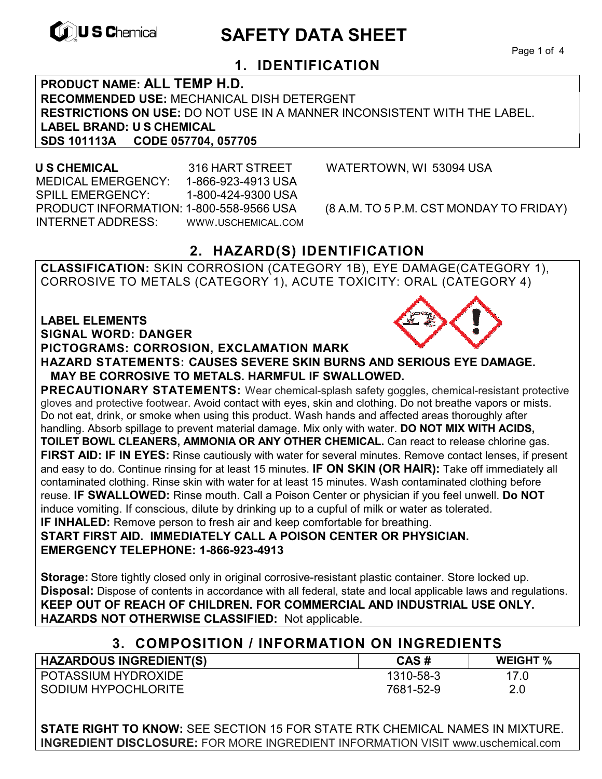

# **EXAMPLE THE SAFETY DATA SHEET**

Page 1 of 4

## **1. IDENTIFICATION**

**PRODUCT NAME: ALL TEMP H.D. RECOMMENDED USE:** MECHANICAL DISH DETERGENT **RESTRICTIONS ON USE:** DO NOT USE IN A MANNER INCONSISTENT WITH THE LABEL. **LABEL BRAND: U S CHEMICAL SDS 101113A CODE 057704, 057705** 

 MEDICAL EMERGENCY: 1-866-923-4913 USA SPILL EMERGENCY: 1-800-424-9300 USA PRODUCT INFORMATION: 1-800-558-9566 USA (8 A.M. TO 5 P.M. CST MONDAY TO FRIDAY) INTERNET ADDRESS: WWW.USCHEMICAL.COM

**U S CHEMICAL** 316 HART STREET WATERTOWN, WI 53094 USA

## **2. HAZARD(S) IDENTIFICATION**

**CLASSIFICATION:** SKIN CORROSION (CATEGORY 1B), EYE DAMAGE(CATEGORY 1), CORROSIVE TO METALS (CATEGORY 1), ACUTE TOXICITY: ORAL (CATEGORY 4)

#### **LABEL ELEMENTS SIGNAL WORD: DANGER**

#### **PICTOGRAMS: CORROSION, EXCLAMATION MARK**

**HAZARD STATEMENTS: CAUSES SEVERE SKIN BURNS AND SERIOUS EYE DAMAGE. MAY BE CORROSIVE TO METALS. HARMFUL IF SWALLOWED.** 

**PRECAUTIONARY STATEMENTS:** Wear chemical-splash safety goggles, chemical-resistant protective gloves and protective footwear. Avoid contact with eyes, skin and clothing. Do not breathe vapors or mists. Do not eat, drink, or smoke when using this product. Wash hands and affected areas thoroughly after handling. Absorb spillage to prevent material damage. Mix only with water. **DO NOT MIX WITH ACIDS, TOILET BOWL CLEANERS, AMMONIA OR ANY OTHER CHEMICAL.** Can react to release chlorine gas. **FIRST AID: IF IN EYES:** Rinse cautiously with water for several minutes. Remove contact lenses, if present and easy to do. Continue rinsing for at least 15 minutes. **IF ON SKIN (OR HAIR):** Take off immediately all contaminated clothing. Rinse skin with water for at least 15 minutes. Wash contaminated clothing before reuse. **IF SWALLOWED:** Rinse mouth. Call a Poison Center or physician if you feel unwell. **Do NOT**  induce vomiting. If conscious, dilute by drinking up to a cupful of milk or water as tolerated. **IF INHALED:** Remove person to fresh air and keep comfortable for breathing. **START FIRST AID. IMMEDIATELY CALL A POISON CENTER OR PHYSICIAN.** 

**EMERGENCY TELEPHONE: 1-866-923-4913**

**Storage:** Store tightly closed only in original corrosive-resistant plastic container. Store locked up. **Disposal:** Dispose of contents in accordance with all federal, state and local applicable laws and regulations. **KEEP OUT OF REACH OF CHILDREN. FOR COMMERCIAL AND INDUSTRIAL USE ONLY. HAZARDS NOT OTHERWISE CLASSIFIED:** Not applicable.

## **3. COMPOSITION / INFORMATION ON INGREDIENTS**

| <b>HAZARDOUS INGREDIENT(S)</b> | CAS#      | <b>WEIGHT %</b> |
|--------------------------------|-----------|-----------------|
| <b>POTASSIUM HYDROXIDE</b>     | 1310-58-3 |                 |
| SODIUM HYPOCHLORITE            | 7681-52-9 | 2.0             |

**STATE RIGHT TO KNOW:** SEE SECTION 15 FOR STATE RTK CHEMICAL NAMES IN MIXTURE. **INGREDIENT DISCLOSURE:** FOR MORE INGREDIENT INFORMATION VISIT www.uschemical.com

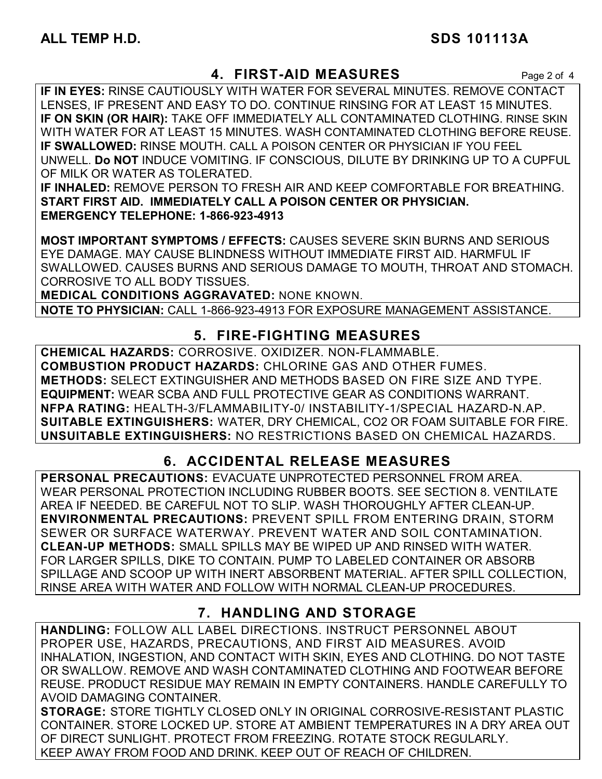## **4. FIRST-AID MEASURES** Page 2 of 4

**IF IN EYES:** RINSE CAUTIOUSLY WITH WATER FOR SEVERAL MINUTES. REMOVE CONTACT LENSES, IF PRESENT AND EASY TO DO. CONTINUE RINSING FOR AT LEAST 15 MINUTES. **IF ON SKIN (OR HAIR):** TAKE OFF IMMEDIATELY ALL CONTAMINATED CLOTHING. RINSE SKIN WITH WATER FOR AT LEAST 15 MINUTES. WASH CONTAMINATED CLOTHING BEFORE REUSE. **IF SWALLOWED:** RINSE MOUTH. CALL A POISON CENTER OR PHYSICIAN IF YOU FEEL UNWELL. **Do NOT** INDUCE VOMITING. IF CONSCIOUS, DILUTE BY DRINKING UP TO A CUPFUL OF MILK OR WATER AS TOLERATED.

**IF INHALED:** REMOVE PERSON TO FRESH AIR AND KEEP COMFORTABLE FOR BREATHING. **START FIRST AID. IMMEDIATELY CALL A POISON CENTER OR PHYSICIAN. EMERGENCY TELEPHONE: 1-866-923-4913**

**MOST IMPORTANT SYMPTOMS / EFFECTS:** CAUSES SEVERE SKIN BURNS AND SERIOUS EYE DAMAGE. MAY CAUSE BLINDNESS WITHOUT IMMEDIATE FIRST AID. HARMFUL IF SWALLOWED. CAUSES BURNS AND SERIOUS DAMAGE TO MOUTH, THROAT AND STOMACH. CORROSIVE TO ALL BODY TISSUES.

**MEDICAL CONDITIONS AGGRAVATED:** NONE KNOWN.

**NOTE TO PHYSICIAN:** CALL 1-866-923-4913 FOR EXPOSURE MANAGEMENT ASSISTANCE.

## **5. FIRE-FIGHTING MEASURES**

**CHEMICAL HAZARDS:** CORROSIVE. OXIDIZER. NON-FLAMMABLE. **COMBUSTION PRODUCT HAZARDS:** CHLORINE GAS AND OTHER FUMES. **METHODS:** SELECT EXTINGUISHER AND METHODS BASED ON FIRE SIZE AND TYPE. **EQUIPMENT:** WEAR SCBA AND FULL PROTECTIVE GEAR AS CONDITIONS WARRANT. **NFPA RATING:** HEALTH-3/FLAMMABILITY-0/ INSTABILITY-1/SPECIAL HAZARD-N.AP. **SUITABLE EXTINGUISHERS:** WATER, DRY CHEMICAL, CO2 OR FOAM SUITABLE FOR FIRE. **UNSUITABLE EXTINGUISHERS:** NO RESTRICTIONS BASED ON CHEMICAL HAZARDS.

## **6. ACCIDENTAL RELEASE MEASURES**

**PERSONAL PRECAUTIONS:** EVACUATE UNPROTECTED PERSONNEL FROM AREA. WEAR PERSONAL PROTECTION INCLUDING RUBBER BOOTS. SEE SECTION 8. VENTILATE AREA IF NEEDED. BE CAREFUL NOT TO SLIP. WASH THOROUGHLY AFTER CLEAN-UP. **ENVIRONMENTAL PRECAUTIONS:** PREVENT SPILL FROM ENTERING DRAIN, STORM SEWER OR SURFACE WATERWAY. PREVENT WATER AND SOIL CONTAMINATION. **CLEAN-UP METHODS:** SMALL SPILLS MAY BE WIPED UP AND RINSED WITH WATER. FOR LARGER SPILLS, DIKE TO CONTAIN. PUMP TO LABELED CONTAINER OR ABSORB SPILLAGE AND SCOOP UP WITH INERT ABSORBENT MATERIAL. AFTER SPILL COLLECTION, RINSE AREA WITH WATER AND FOLLOW WITH NORMAL CLEAN-UP PROCEDURES.

## **7. HANDLING AND STORAGE**

**HANDLING:** FOLLOW ALL LABEL DIRECTIONS. INSTRUCT PERSONNEL ABOUT PROPER USE, HAZARDS, PRECAUTIONS, AND FIRST AID MEASURES. AVOID INHALATION, INGESTION, AND CONTACT WITH SKIN, EYES AND CLOTHING. DO NOT TASTE OR SWALLOW. REMOVE AND WASH CONTAMINATED CLOTHING AND FOOTWEAR BEFORE REUSE. PRODUCT RESIDUE MAY REMAIN IN EMPTY CONTAINERS. HANDLE CAREFULLY TO AVOID DAMAGING CONTAINER.

**STORAGE:** STORE TIGHTLY CLOSED ONLY IN ORIGINAL CORROSIVE-RESISTANT PLASTIC CONTAINER. STORE LOCKED UP. STORE AT AMBIENT TEMPERATURES IN A DRY AREA OUT OF DIRECT SUNLIGHT. PROTECT FROM FREEZING. ROTATE STOCK REGULARLY. KEEP AWAY FROM FOOD AND DRINK. KEEP OUT OF REACH OF CHILDREN.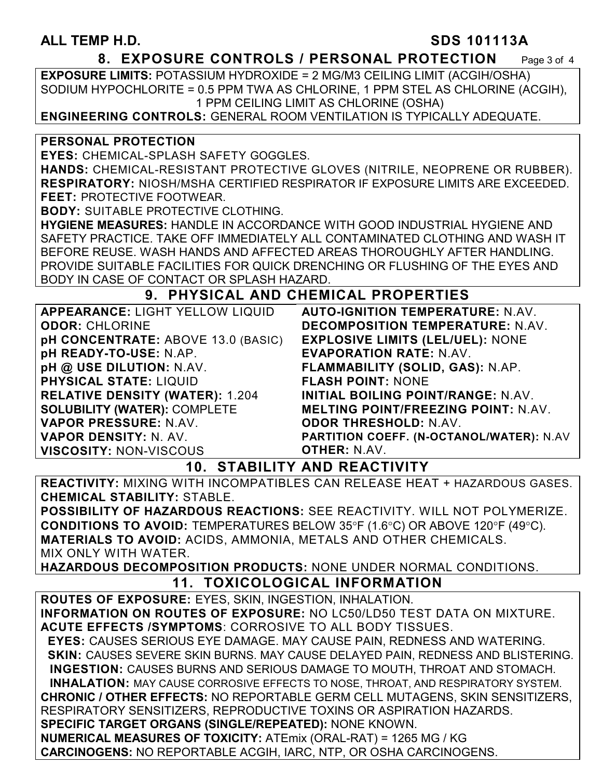#### **ALL TEMP H.D. SDS 101113A**

#### **8. EXPOSURE CONTROLS / PERSONAL PROTECTION** Page 3 of 4

**EXPOSURE LIMITS:** POTASSIUM HYDROXIDE = 2 MG/M3 CEILING LIMIT (ACGIH/OSHA) SODIUM HYPOCHLORITE = 0.5 PPM TWA AS CHLORINE, 1 PPM STEL AS CHLORINE (ACGIH), 1 PPM CEILING LIMIT AS CHLORINE (OSHA)

**ENGINEERING CONTROLS:** GENERAL ROOM VENTILATION IS TYPICALLY ADEQUATE.

#### **PERSONAL PROTECTION**

**EYES:** CHEMICAL-SPLASH SAFETY GOGGLES.

**HANDS:** CHEMICAL-RESISTANT PROTECTIVE GLOVES (NITRILE, NEOPRENE OR RUBBER). **RESPIRATORY:** NIOSH/MSHA CERTIFIED RESPIRATOR IF EXPOSURE LIMITS ARE EXCEEDED. **FEET:** PROTECTIVE FOOTWEAR.

**BODY:** SUITABLE PROTECTIVE CLOTHING.

**HYGIENE MEASURES:** HANDLE IN ACCORDANCE WITH GOOD INDUSTRIAL HYGIENE AND SAFETY PRACTICE. TAKE OFF IMMEDIATELY ALL CONTAMINATED CLOTHING AND WASH IT BEFORE REUSE. WASH HANDS AND AFFECTED AREAS THOROUGHLY AFTER HANDLING. PROVIDE SUITABLE FACILITIES FOR QUICK DRENCHING OR FLUSHING OF THE EYES AND BODY IN CASE OF CONTACT OR SPLASH HAZARD.

#### **9. PHYSICAL AND CHEMICAL PROPERTIES**

| APPEARANCE: LIGHT YELLOW LIQUID        | <b>AUTO-IGNITION TEMPERATURE: N.AV.</b>    |
|----------------------------------------|--------------------------------------------|
| <b>ODOR: CHLORINE</b>                  | <b>DECOMPOSITION TEMPERATURE: N.AV.</b>    |
| pH CONCENTRATE: ABOVE 13.0 (BASIC)     | <b>EXPLOSIVE LIMITS (LEL/UEL): NONE</b>    |
| pH READY-TO-USE: N.AP.                 | <b>EVAPORATION RATE: N.AV.</b>             |
| pH @ USE DILUTION: N.AV.               | FLAMMABILITY (SOLID, GAS): N.AP.           |
| <b>PHYSICAL STATE: LIQUID</b>          | <b>FLASH POINT: NONE</b>                   |
| <b>RELATIVE DENSITY (WATER): 1.204</b> | INITIAL BOILING POINT/RANGE: N.AV.         |
| <b>SOLUBILITY (WATER): COMPLETE</b>    | <b>MELTING POINT/FREEZING POINT: N.AV.</b> |
| VAPOR PRESSURE: N.AV.                  | <b>ODOR THRESHOLD: N.AV.</b>               |
| <b>VAPOR DENSITY: N. AV.</b>           | PARTITION COEFF. (N-OCTANOL/WATER): N.AV   |
| <b>VISCOSITY: NON-VISCOUS</b>          | <b>OTHER: N.AV.</b>                        |

### **10. STABILITY AND REACTIVITY**

**REACTIVITY:** MIXING WITH INCOMPATIBLES CAN RELEASE HEAT + HAZARDOUS GASES. **CHEMICAL STABILITY:** STABLE.

**POSSIBILITY OF HAZARDOUS REACTIONS:** SEE REACTIVITY. WILL NOT POLYMERIZE. **CONDITIONS TO AVOID:** TEMPERATURES BELOW 35°F (1.6°C) OR ABOVE 120°F (49°C). **MATERIALS TO AVOID:** ACIDS, AMMONIA, METALS AND OTHER CHEMICALS. MIX ONLY WITH WATER.

**HAZARDOUS DECOMPOSITION PRODUCTS:** NONE UNDER NORMAL CONDITIONS.

## **11. TOXICOLOGICAL INFORMATION**

**ROUTES OF EXPOSURE:** EYES, SKIN, INGESTION, INHALATION. **INFORMATION ON ROUTES OF EXPOSURE:** NO LC50/LD50 TEST DATA ON MIXTURE. **ACUTE EFFECTS /SYMPTOMS**: CORROSIVE TO ALL BODY TISSUES.  **EYES:** CAUSES SERIOUS EYE DAMAGE. MAY CAUSE PAIN, REDNESS AND WATERING.  **SKIN:** CAUSES SEVERE SKIN BURNS. MAY CAUSE DELAYED PAIN, REDNESS AND BLISTERING. **INGESTION:** CAUSES BURNS AND SERIOUS DAMAGE TO MOUTH, THROAT AND STOMACH. **INHALATION:** MAY CAUSE CORROSIVE EFFECTS TO NOSE, THROAT, AND RESPIRATORY SYSTEM. **CHRONIC / OTHER EFFECTS:** NO REPORTABLE GERM CELL MUTAGENS, SKIN SENSITIZERS, RESPIRATORY SENSITIZERS, REPRODUCTIVE TOXINS OR ASPIRATION HAZARDS. **SPECIFIC TARGET ORGANS (SINGLE/REPEATED):** NONE KNOWN. **NUMERICAL MEASURES OF TOXICITY:** ATEmix (ORAL-RAT) = 1265 MG / KG **CARCINOGENS:** NO REPORTABLE ACGIH, IARC, NTP, OR OSHA CARCINOGENS.